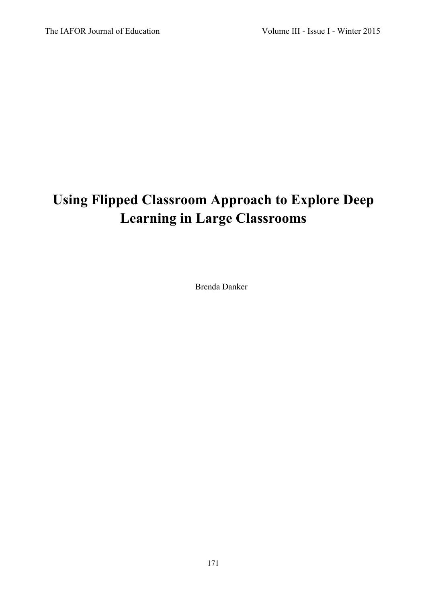# **Using Flipped Classroom Approach to Explore Deep Learning in Large Classrooms**

Brenda Danker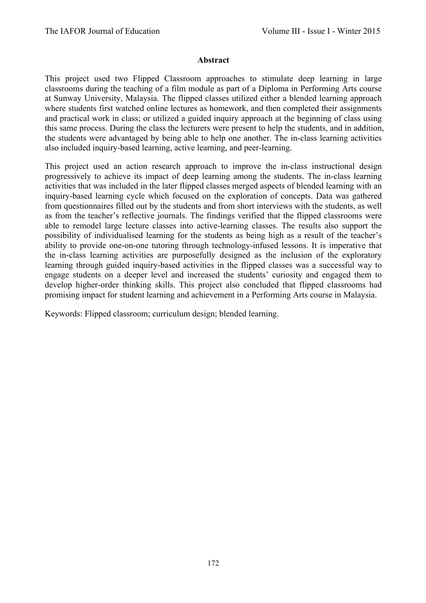#### **Abstract**

This project used two Flipped Classroom approaches to stimulate deep learning in large classrooms during the teaching of a film module as part of a Diploma in Performing Arts course at Sunway University, Malaysia. The flipped classes utilized either a blended learning approach where students first watched online lectures as homework, and then completed their assignments and practical work in class; or utilized a guided inquiry approach at the beginning of class using this same process. During the class the lecturers were present to help the students, and in addition, the students were advantaged by being able to help one another. The in-class learning activities also included inquiry-based learning, active learning, and peer-learning.

This project used an action research approach to improve the in-class instructional design progressively to achieve its impact of deep learning among the students. The in-class learning activities that was included in the later flipped classes merged aspects of blended learning with an inquiry-based learning cycle which focused on the exploration of concepts. Data was gathered from questionnaires filled out by the students and from short interviews with the students, as well as from the teacher's reflective journals. The findings verified that the flipped classrooms were able to remodel large lecture classes into active-learning classes. The results also support the possibility of individualised learning for the students as being high as a result of the teacher's ability to provide one-on-one tutoring through technology-infused lessons. It is imperative that the in-class learning activities are purposefully designed as the inclusion of the exploratory learning through guided inquiry-based activities in the flipped classes was a successful way to engage students on a deeper level and increased the students' curiosity and engaged them to develop higher-order thinking skills. This project also concluded that flipped classrooms had promising impact for student learning and achievement in a Performing Arts course in Malaysia.

Keywords: Flipped classroom; curriculum design; blended learning.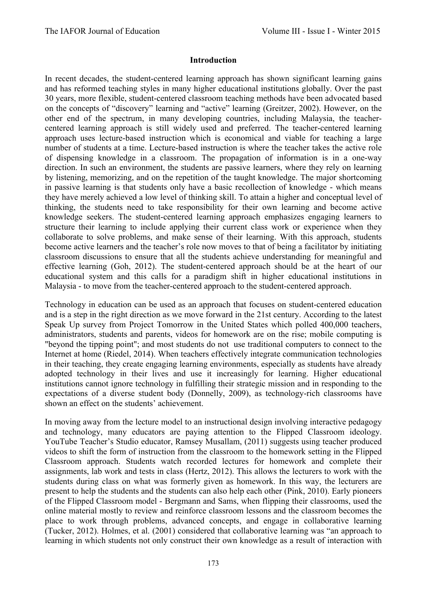#### **Introduction**

In recent decades, the student-centered learning approach has shown significant learning gains and has reformed teaching styles in many higher educational institutions globally. Over the past 30 years, more flexible, student-centered classroom teaching methods have been advocated based on the concepts of "discovery" learning and "active" learning (Greitzer, 2002). However, on the other end of the spectrum, in many developing countries, including Malaysia, the teachercentered learning approach is still widely used and preferred. The teacher-centered learning approach uses lecture-based instruction which is economical and viable for teaching a large number of students at a time. Lecture-based instruction is where the teacher takes the active role of dispensing knowledge in a classroom. The propagation of information is in a one-way direction. In such an environment, the students are passive learners, where they rely on learning by listening, memorizing, and on the repetition of the taught knowledge. The major shortcoming in passive learning is that students only have a basic recollection of knowledge - which means they have merely achieved a low level of thinking skill. To attain a higher and conceptual level of thinking, the students need to take responsibility for their own learning and become active knowledge seekers. The student-centered learning approach emphasizes engaging learners to structure their learning to include applying their current class work or experience when they collaborate to solve problems, and make sense of their learning. With this approach, students become active learners and the teacher's role now moves to that of being a facilitator by initiating classroom discussions to ensure that all the students achieve understanding for meaningful and effective learning (Goh, 2012). The student-centered approach should be at the heart of our educational system and this calls for a paradigm shift in higher educational institutions in Malaysia - to move from the teacher-centered approach to the student-centered approach.

Technology in education can be used as an approach that focuses on student-centered education and is a step in the right direction as we move forward in the 21st century. According to the latest Speak Up survey from Project Tomorrow in the United States which polled 400,000 teachers, administrators, students and parents, videos for homework are on the rise; mobile computing is "beyond the tipping point"; and most students do not use traditional computers to connect to the Internet at home (Riedel, 2014). When teachers effectively integrate communication technologies in their teaching, they create engaging learning environments, especially as students have already adopted technology in their lives and use it increasingly for learning. Higher educational institutions cannot ignore technology in fulfilling their strategic mission and in responding to the expectations of a diverse student body (Donnelly, 2009), as technology-rich classrooms have shown an effect on the students' achievement.

In moving away from the lecture model to an instructional design involving interactive pedagogy and technology, many educators are paying attention to the Flipped Classroom ideology. YouTube Teacher's Studio educator, Ramsey Musallam, (2011) suggests using teacher produced videos to shift the form of instruction from the classroom to the homework setting in the Flipped Classroom approach. Students watch recorded lectures for homework and complete their assignments, lab work and tests in class (Hertz, 2012). This allows the lecturers to work with the students during class on what was formerly given as homework. In this way, the lecturers are present to help the students and the students can also help each other (Pink, 2010). Early pioneers of the Flipped Classroom model - Bergmann and Sams, when flipping their classrooms, used the online material mostly to review and reinforce classroom lessons and the classroom becomes the place to work through problems, advanced concepts, and engage in collaborative learning (Tucker, 2012). Holmes, et al. (2001) considered that collaborative learning was "an approach to learning in which students not only construct their own knowledge as a result of interaction with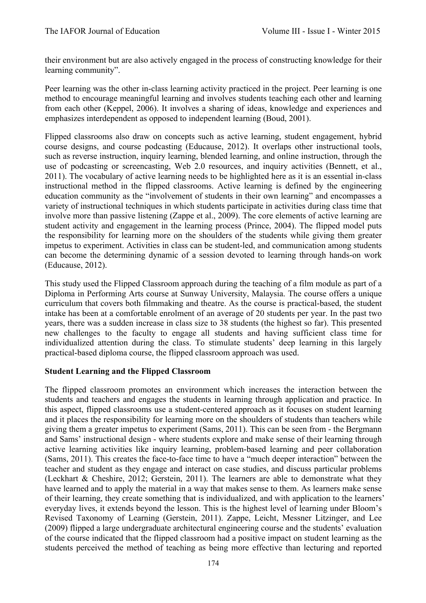their environment but are also actively engaged in the process of constructing knowledge for their learning community".

Peer learning was the other in-class learning activity practiced in the project. Peer learning is one method to encourage meaningful learning and involves students teaching each other and learning from each other (Keppel, 2006). It involves a sharing of ideas, knowledge and experiences and emphasizes interdependent as opposed to independent learning (Boud, 2001).

Flipped classrooms also draw on concepts such as active learning, student engagement, hybrid course designs, and course podcasting (Educause, 2012). It overlaps other instructional tools, such as reverse instruction, inquiry learning, blended learning, and online instruction, through the use of podcasting or screencasting, Web 2.0 resources, and inquiry activities (Bennett, et al., 2011). The vocabulary of active learning needs to be highlighted here as it is an essential in-class instructional method in the flipped classrooms. Active learning is defined by the engineering education community as the "involvement of students in their own learning" and encompasses a variety of instructional techniques in which students participate in activities during class time that involve more than passive listening (Zappe et al., 2009). The core elements of active learning are student activity and engagement in the learning process (Prince, 2004). The flipped model puts the responsibility for learning more on the shoulders of the students while giving them greater impetus to experiment. Activities in class can be student-led, and communication among students can become the determining dynamic of a session devoted to learning through hands-on work (Educause, 2012).

This study used the Flipped Classroom approach during the teaching of a film module as part of a Diploma in Performing Arts course at Sunway University, Malaysia. The course offers a unique curriculum that covers both filmmaking and theatre. As the course is practical-based, the student intake has been at a comfortable enrolment of an average of 20 students per year. In the past two years, there was a sudden increase in class size to 38 students (the highest so far). This presented new challenges to the faculty to engage all students and having sufficient class time for individualized attention during the class. To stimulate students' deep learning in this largely practical-based diploma course, the flipped classroom approach was used.

## **Student Learning and the Flipped Classroom**

The flipped classroom promotes an environment which increases the interaction between the students and teachers and engages the students in learning through application and practice. In this aspect, flipped classrooms use a student-centered approach as it focuses on student learning and it places the responsibility for learning more on the shoulders of students than teachers while giving them a greater impetus to experiment (Sams, 2011). This can be seen from - the Bergmann and Sams' instructional design - where students explore and make sense of their learning through active learning activities like inquiry learning, problem-based learning and peer collaboration (Sams, 2011). This creates the face-to-face time to have a "much deeper interaction" between the teacher and student as they engage and interact on case studies, and discuss particular problems (Leckhart & Cheshire, 2012; Gerstein, 2011). The learners are able to demonstrate what they have learned and to apply the material in a way that makes sense to them. As learners make sense of their learning, they create something that is individualized, and with application to the learners' everyday lives, it extends beyond the lesson. This is the highest level of learning under Bloom's Revised Taxonomy of Learning (Gerstein, 2011). Zappe, Leicht, Messner Litzinger, and Lee (2009) flipped a large undergraduate architectural engineering course and the students' evaluation of the course indicated that the flipped classroom had a positive impact on student learning as the students perceived the method of teaching as being more effective than lecturing and reported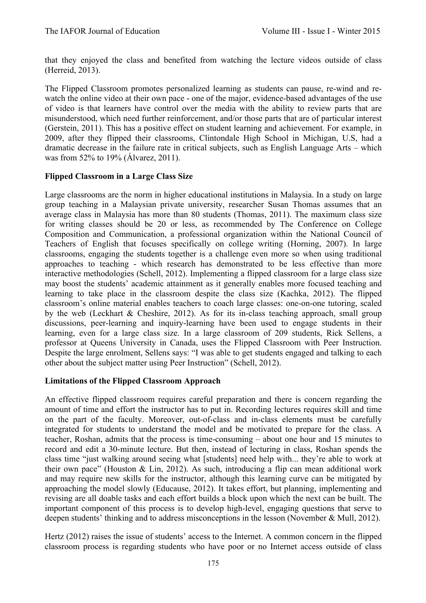that they enjoyed the class and benefited from watching the lecture videos outside of class (Herreid, 2013).

The Flipped Classroom promotes personalized learning as students can pause, re-wind and rewatch the online video at their own pace - one of the major, evidence-based advantages of the use of video is that learners have control over the media with the ability to review parts that are misunderstood, which need further reinforcement, and/or those parts that are of particular interest (Gerstein, 2011). This has a positive effect on student learning and achievement. For example, in 2009, after they flipped their classrooms, Clintondale High School in Michigan, U.S, had a dramatic decrease in the failure rate in critical subjects, such as English Language Arts – which was from 52% to 19% (Álvarez, 2011).

# **Flipped Classroom in a Large Class Size**

Large classrooms are the norm in higher educational institutions in Malaysia. In a study on large group teaching in a Malaysian private university, researcher Susan Thomas assumes that an average class in Malaysia has more than 80 students (Thomas, 2011). The maximum class size for writing classes should be 20 or less, as recommended by The Conference on College Composition and Communication, a professional organization within the National Council of Teachers of English that focuses specifically on college writing (Horning, 2007). In large classrooms, engaging the students together is a challenge even more so when using traditional approaches to teaching - which research has demonstrated to be less effective than more interactive methodologies (Schell, 2012). Implementing a flipped classroom for a large class size may boost the students' academic attainment as it generally enables more focused teaching and learning to take place in the classroom despite the class size (Kachka, 2012). The flipped classroom's online material enables teachers to coach large classes: one-on-one tutoring, scaled by the web (Leckhart & Cheshire, 2012). As for its in-class teaching approach, small group discussions, peer-learning and inquiry-learning have been used to engage students in their learning, even for a large class size. In a large classroom of 209 students, Rick Sellens, a professor at Queens University in Canada, uses the Flipped Classroom with Peer Instruction. Despite the large enrolment, Sellens says: "I was able to get students engaged and talking to each other about the subject matter using Peer Instruction" (Schell, 2012).

## **Limitations of the Flipped Classroom Approach**

An effective flipped classroom requires careful preparation and there is concern regarding the amount of time and effort the instructor has to put in. Recording lectures requires skill and time on the part of the faculty. Moreover, out-of-class and in-class elements must be carefully integrated for students to understand the model and be motivated to prepare for the class. A teacher, Roshan, admits that the process is time-consuming – about one hour and 15 minutes to record and edit a 30-minute lecture. But then, instead of lecturing in class, Roshan spends the class time "just walking around seeing what [students] need help with... they're able to work at their own pace" (Houston & Lin, 2012). As such, introducing a flip can mean additional work and may require new skills for the instructor, although this learning curve can be mitigated by approaching the model slowly (Educause, 2012). It takes effort, but planning, implementing and revising are all doable tasks and each effort builds a block upon which the next can be built. The important component of this process is to develop high-level, engaging questions that serve to deepen students' thinking and to address misconceptions in the lesson (November & Mull, 2012).

Hertz (2012) raises the issue of students' access to the Internet. A common concern in the flipped classroom process is regarding students who have poor or no Internet access outside of class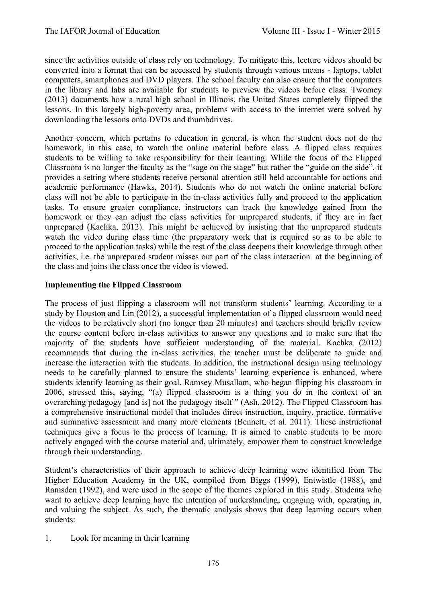since the activities outside of class rely on technology. To mitigate this, lecture videos should be converted into a format that can be accessed by students through various means - laptops, tablet computers, smartphones and DVD players. The school faculty can also ensure that the computers in the library and labs are available for students to preview the videos before class. Twomey (2013) documents how a rural high school in Illinois, the United States completely flipped the lessons. In this largely high-poverty area, problems with access to the internet were solved by downloading the lessons onto DVDs and thumbdrives.

Another concern, which pertains to education in general, is when the student does not do the homework, in this case, to watch the online material before class. A flipped class requires students to be willing to take responsibility for their learning. While the focus of the Flipped Classroom is no longer the faculty as the "sage on the stage" but rather the "guide on the side", it provides a setting where students receive personal attention still held accountable for actions and academic performance (Hawks, 2014). Students who do not watch the online material before class will not be able to participate in the in-class activities fully and proceed to the application tasks. To ensure greater compliance, instructors can track the knowledge gained from the homework or they can adjust the class activities for unprepared students, if they are in fact unprepared (Kachka, 2012). This might be achieved by insisting that the unprepared students watch the video during class time (the preparatory work that is required so as to be able to proceed to the application tasks) while the rest of the class deepens their knowledge through other activities, i.e. the unprepared student misses out part of the class interaction at the beginning of the class and joins the class once the video is viewed.

# **Implementing the Flipped Classroom**

The process of just flipping a classroom will not transform students' learning. According to a study by Houston and Lin (2012), a successful implementation of a flipped classroom would need the videos to be relatively short (no longer than 20 minutes) and teachers should briefly review the course content before in-class activities to answer any questions and to make sure that the majority of the students have sufficient understanding of the material. Kachka (2012) recommends that during the in-class activities, the teacher must be deliberate to guide and increase the interaction with the students. In addition, the instructional design using technology needs to be carefully planned to ensure the students' learning experience is enhanced, where students identify learning as their goal. Ramsey Musallam, who began flipping his classroom in 2006, stressed this, saying, "(a) flipped classroom is a thing you do in the context of an overarching pedagogy [and is] not the pedagogy itself " (Ash, 2012). The Flipped Classroom has a comprehensive instructional model that includes direct instruction, inquiry, practice, formative and summative assessment and many more elements (Bennett, et al. 2011). These instructional techniques give a focus to the process of learning. It is aimed to enable students to be more actively engaged with the course material and, ultimately, empower them to construct knowledge through their understanding.

Student's characteristics of their approach to achieve deep learning were identified from The Higher Education Academy in the UK, compiled from Biggs (1999), Entwistle (1988), and Ramsden (1992), and were used in the scope of the themes explored in this study. Students who want to achieve deep learning have the intention of understanding, engaging with, operating in, and valuing the subject. As such, the thematic analysis shows that deep learning occurs when students:

1. Look for meaning in their learning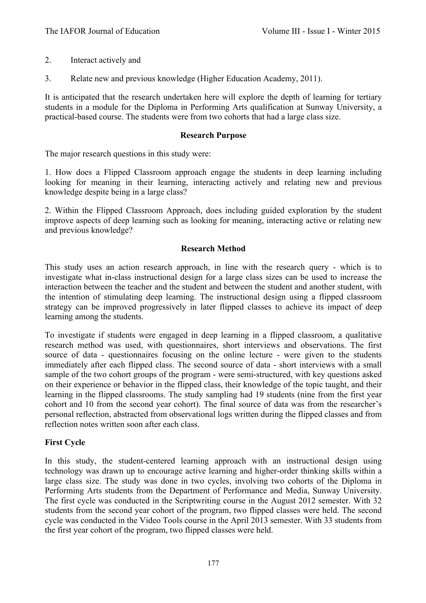- 2. Interact actively and
- 3. Relate new and previous knowledge (Higher Education Academy, 2011).

It is anticipated that the research undertaken here will explore the depth of learning for tertiary students in a module for the Diploma in Performing Arts qualification at Sunway University, a practical-based course. The students were from two cohorts that had a large class size.

#### **Research Purpose**

The major research questions in this study were:

1. How does a Flipped Classroom approach engage the students in deep learning including looking for meaning in their learning, interacting actively and relating new and previous knowledge despite being in a large class?

2. Within the Flipped Classroom Approach, does including guided exploration by the student improve aspects of deep learning such as looking for meaning, interacting active or relating new and previous knowledge?

#### **Research Method**

This study uses an action research approach, in line with the research query - which is to investigate what in-class instructional design for a large class sizes can be used to increase the interaction between the teacher and the student and between the student and another student, with the intention of stimulating deep learning. The instructional design using a flipped classroom strategy can be improved progressively in later flipped classes to achieve its impact of deep learning among the students.

To investigate if students were engaged in deep learning in a flipped classroom, a qualitative research method was used, with questionnaires, short interviews and observations. The first source of data - questionnaires focusing on the online lecture - were given to the students immediately after each flipped class. The second source of data - short interviews with a small sample of the two cohort groups of the program - were semi-structured, with key questions asked on their experience or behavior in the flipped class, their knowledge of the topic taught, and their learning in the flipped classrooms. The study sampling had 19 students (nine from the first year cohort and 10 from the second year cohort). The final source of data was from the researcher's personal reflection, abstracted from observational logs written during the flipped classes and from reflection notes written soon after each class.

## **First Cycle**

In this study, the student-centered learning approach with an instructional design using technology was drawn up to encourage active learning and higher-order thinking skills within a large class size. The study was done in two cycles, involving two cohorts of the Diploma in Performing Arts students from the Department of Performance and Media, Sunway University. The first cycle was conducted in the Scriptwriting course in the August 2012 semester. With 32 students from the second year cohort of the program, two flipped classes were held. The second cycle was conducted in the Video Tools course in the April 2013 semester. With 33 students from the first year cohort of the program, two flipped classes were held.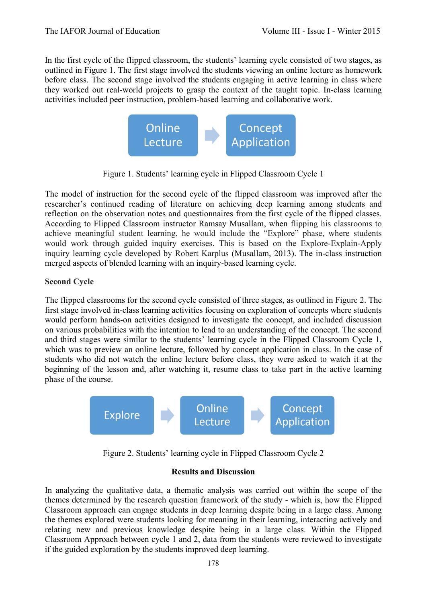In the first cycle of the flipped classroom, the students' learning cycle consisted of two stages, as outlined in Figure 1. The first stage involved the students viewing an online lecture as homework before class. The second stage involved the students engaging in active learning in class where they worked out real-world projects to grasp the context of the taught topic. In-class learning activities included peer instruction, problem-based learning and collaborative work.



Figure 1. Students' learning cycle in Flipped Classroom Cycle 1

The model of instruction for the second cycle of the flipped classroom was improved after the researcher's continued reading of literature on achieving deep learning among students and reflection on the observation notes and questionnaires from the first cycle of the flipped classes. According to Flipped Classroom instructor Ramsay Musallam, when flipping his classrooms to achieve meaningful student learning, he would include the "Explore" phase, where students would work through guided inquiry exercises. This is based on the Explore-Explain-Apply inquiry learning cycle developed by Robert Karplus (Musallam, 2013). The in-class instruction merged aspects of blended learning with an inquiry-based learning cycle.

# **Second Cycle**

The flipped classrooms for the second cycle consisted of three stages, as outlined in Figure 2. The first stage involved in-class learning activities focusing on exploration of concepts where students would perform hands-on activities designed to investigate the concept, and included discussion on various probabilities with the intention to lead to an understanding of the concept. The second and third stages were similar to the students' learning cycle in the Flipped Classroom Cycle 1, which was to preview an online lecture, followed by concept application in class. In the case of students who did not watch the online lecture before class, they were asked to watch it at the beginning of the lesson and, after watching it, resume class to take part in the active learning phase of the course.



Figure 2. Students' learning cycle in Flipped Classroom Cycle 2

# **Results and Discussion**

In analyzing the qualitative data, a thematic analysis was carried out within the scope of the themes determined by the research question framework of the study - which is, how the Flipped Classroom approach can engage students in deep learning despite being in a large class. Among the themes explored were students looking for meaning in their learning, interacting actively and relating new and previous knowledge despite being in a large class. Within the Flipped Classroom Approach between cycle 1 and 2, data from the students were reviewed to investigate if the guided exploration by the students improved deep learning.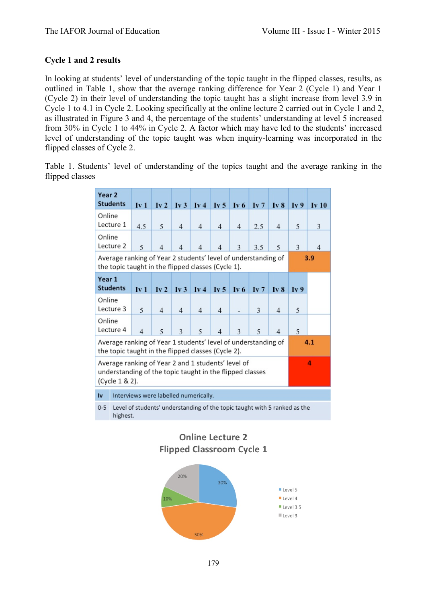# **Cycle 1 and 2 results**

In looking at students' level of understanding of the topic taught in the flipped classes, results, as outlined in Table 1, show that the average ranking difference for Year 2 (Cycle 1) and Year 1 (Cycle 2) in their level of understanding the topic taught has a slight increase from level 3.9 in Cycle 1 to 4.1 in Cycle 2. Looking specifically at the online lecture 2 carried out in Cycle 1 and 2, as illustrated in Figure 3 and 4, the percentage of the students' understanding at level 5 increased from 30% in Cycle 1 to 44% in Cycle 2. A factor which may have led to the students' increased level of understanding of the topic taught was when inquiry-learning was incorporated in the flipped classes of Cycle 2.

Table 1. Students' level of understanding of the topics taught and the average ranking in the flipped classes

| Year <sub>2</sub><br><b>Students</b>                                                                                                  | Iv1            | Iv2            | Iv3                       | Iv4                       | Iv <sub>5</sub> | Iv <sub>6</sub> | Iv7             | Iv <sub>8</sub> | Iv9             | Iv10           |  |
|---------------------------------------------------------------------------------------------------------------------------------------|----------------|----------------|---------------------------|---------------------------|-----------------|-----------------|-----------------|-----------------|-----------------|----------------|--|
| Online<br>Lecture 1                                                                                                                   | 4.5            | 5              | $\overline{4}$            | $\overline{4}$            | $\overline{4}$  | $\overline{4}$  | 2.5             | 4               | 5               | 3              |  |
| Online<br>Lecture 2                                                                                                                   | 5              | $\overline{4}$ | 4                         | $\overline{4}$            | 4               | 3               | 3.5             | 5               | 3               | $\overline{4}$ |  |
| Average ranking of Year 2 students' level of understanding of<br>the topic taught in the flipped classes (Cycle 1).                   |                |                |                           |                           |                 |                 |                 |                 |                 | 3.9            |  |
| Year 1<br><b>Students</b>                                                                                                             | Iv1            | Iv2            | $\mathbf{I} \mathbf{v}$ 3 | $\mathbf{I} \mathbf{v}$ 4 | Iv <sub>5</sub> | Iv <sub>6</sub> | Iv <sub>7</sub> | Iv <sub>8</sub> | Iv <sub>9</sub> |                |  |
| Online<br>Lecture 3                                                                                                                   | 5              | $\overline{4}$ | $\overline{4}$            | $\overline{4}$            | $\overline{4}$  |                 | 3               | 4               | 5               |                |  |
| Online<br>Lecture 4                                                                                                                   | $\overline{4}$ | 5              | 3                         | 5                         | 4               | 3               | 5               | 4               | 5               |                |  |
| Average ranking of Year 1 students' level of understanding of<br>the topic taught in the flipped classes (Cycle 2).                   |                |                |                           |                           |                 |                 |                 |                 |                 | 4.1            |  |
| Average ranking of Year 2 and 1 students' level of<br>4<br>understanding of the topic taught in the flipped classes<br>(Cycle 1 & 2). |                |                |                           |                           |                 |                 |                 |                 |                 |                |  |
| Interviews were labelled numerically.<br>Iv                                                                                           |                |                |                           |                           |                 |                 |                 |                 |                 |                |  |
| Level of students' understanding of the topic taught with 5 ranked as the<br>$0 - 5$<br>highest.                                      |                |                |                           |                           |                 |                 |                 |                 |                 |                |  |

**Online Lecture 2 Flipped Classroom Cycle 1** 

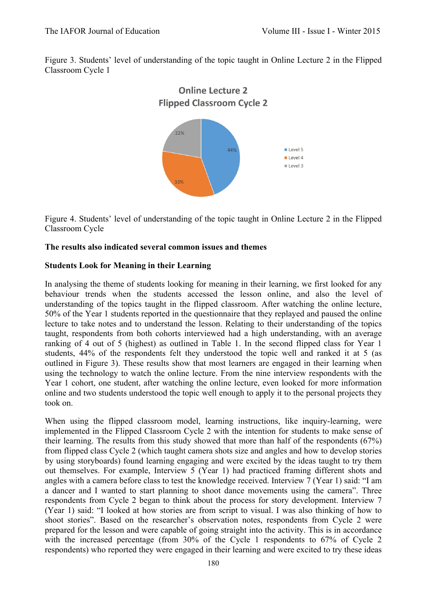Figure 3. Students' level of understanding of the topic taught in Online Lecture 2 in the Flipped Classroom Cycle 1



Figure 4. Students' level of understanding of the topic taught in Online Lecture 2 in the Flipped Classroom Cycle

# **The results also indicated several common issues and themes**

# **Students Look for Meaning in their Learning**

In analysing the theme of students looking for meaning in their learning, we first looked for any behaviour trends when the students accessed the lesson online, and also the level of understanding of the topics taught in the flipped classroom. After watching the online lecture, 50% of the Year 1 students reported in the questionnaire that they replayed and paused the online lecture to take notes and to understand the lesson. Relating to their understanding of the topics taught, respondents from both cohorts interviewed had a high understanding, with an average ranking of 4 out of 5 (highest) as outlined in Table 1. In the second flipped class for Year 1 students, 44% of the respondents felt they understood the topic well and ranked it at 5 (as outlined in Figure 3). These results show that most learners are engaged in their learning when using the technology to watch the online lecture. From the nine interview respondents with the Year 1 cohort, one student, after watching the online lecture, even looked for more information online and two students understood the topic well enough to apply it to the personal projects they took on.

When using the flipped classroom model, learning instructions, like inquiry-learning, were implemented in the Flipped Classroom Cycle 2 with the intention for students to make sense of their learning. The results from this study showed that more than half of the respondents (67%) from flipped class Cycle 2 (which taught camera shots size and angles and how to develop stories by using storyboards) found learning engaging and were excited by the ideas taught to try them out themselves. For example, Interview 5 (Year 1) had practiced framing different shots and angles with a camera before class to test the knowledge received. Interview 7 (Year 1) said: "I am a dancer and I wanted to start planning to shoot dance movements using the camera". Three respondents from Cycle 2 began to think about the process for story development. Interview 7 (Year 1) said: "I looked at how stories are from script to visual. I was also thinking of how to shoot stories". Based on the researcher's observation notes, respondents from Cycle 2 were prepared for the lesson and were capable of going straight into the activity. This is in accordance with the increased percentage (from 30% of the Cycle 1 respondents to 67% of Cycle 2 respondents) who reported they were engaged in their learning and were excited to try these ideas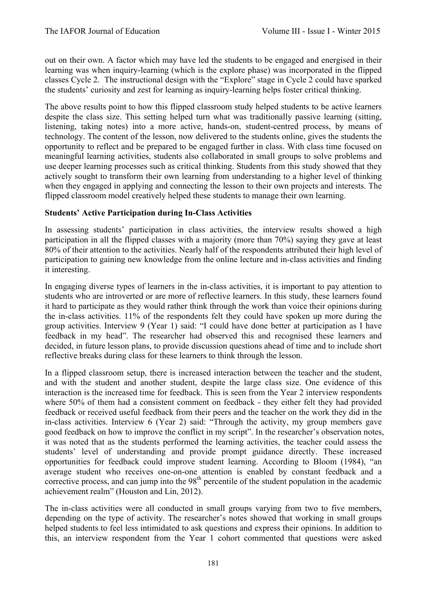out on their own. A factor which may have led the students to be engaged and energised in their learning was when inquiry-learning (which is the explore phase) was incorporated in the flipped classes Cycle 2. The instructional design with the "Explore" stage in Cycle 2 could have sparked the students' curiosity and zest for learning as inquiry-learning helps foster critical thinking.

The above results point to how this flipped classroom study helped students to be active learners despite the class size. This setting helped turn what was traditionally passive learning (sitting, listening, taking notes) into a more active, hands-on, student-centred process, by means of technology. The content of the lesson, now delivered to the students online, gives the students the opportunity to reflect and be prepared to be engaged further in class. With class time focused on meaningful learning activities, students also collaborated in small groups to solve problems and use deeper learning processes such as critical thinking. Students from this study showed that they actively sought to transform their own learning from understanding to a higher level of thinking when they engaged in applying and connecting the lesson to their own projects and interests. The flipped classroom model creatively helped these students to manage their own learning.

# **Students' Active Participation during In-Class Activities**

In assessing students' participation in class activities, the interview results showed a high participation in all the flipped classes with a majority (more than 70%) saying they gave at least 80% of their attention to the activities. Nearly half of the respondents attributed their high level of participation to gaining new knowledge from the online lecture and in-class activities and finding it interesting.

In engaging diverse types of learners in the in-class activities, it is important to pay attention to students who are introverted or are more of reflective learners. In this study, these learners found it hard to participate as they would rather think through the work than voice their opinions during the in-class activities. 11% of the respondents felt they could have spoken up more during the group activities. Interview 9 (Year 1) said: "I could have done better at participation as I have feedback in my head". The researcher had observed this and recognised these learners and decided, in future lesson plans, to provide discussion questions ahead of time and to include short reflective breaks during class for these learners to think through the lesson.

In a flipped classroom setup, there is increased interaction between the teacher and the student, and with the student and another student, despite the large class size. One evidence of this interaction is the increased time for feedback. This is seen from the Year 2 interview respondents where 50% of them had a consistent comment on feedback - they either felt they had provided feedback or received useful feedback from their peers and the teacher on the work they did in the in-class activities. Interview 6 (Year 2) said: "Through the activity, my group members gave good feedback on how to improve the conflict in my script". In the researcher's observation notes, it was noted that as the students performed the learning activities, the teacher could assess the students' level of understanding and provide prompt guidance directly. These increased opportunities for feedback could improve student learning. According to Bloom (1984), "an average student who receives one-on-one attention is enabled by constant feedback and a corrective process, and can jump into the  $98<sup>th</sup>$  percentile of the student population in the academic achievement realm" (Houston and Lin, 2012).

The in-class activities were all conducted in small groups varying from two to five members, depending on the type of activity. The researcher's notes showed that working in small groups helped students to feel less intimidated to ask questions and express their opinions. In addition to this, an interview respondent from the Year 1 cohort commented that questions were asked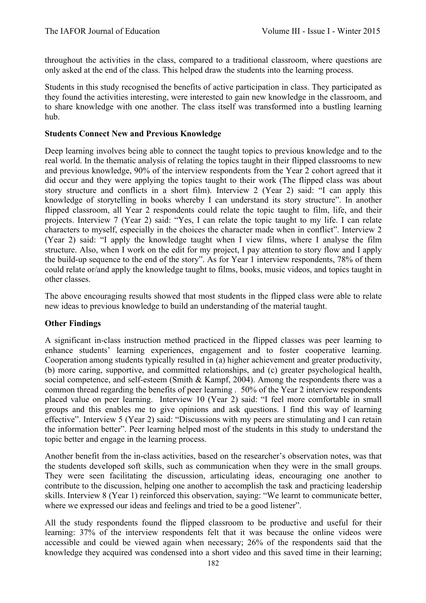throughout the activities in the class, compared to a traditional classroom, where questions are only asked at the end of the class. This helped draw the students into the learning process.

Students in this study recognised the benefits of active participation in class. They participated as they found the activities interesting, were interested to gain new knowledge in the classroom, and to share knowledge with one another. The class itself was transformed into a bustling learning hub.

## **Students Connect New and Previous Knowledge**

Deep learning involves being able to connect the taught topics to previous knowledge and to the real world. In the thematic analysis of relating the topics taught in their flipped classrooms to new and previous knowledge, 90% of the interview respondents from the Year 2 cohort agreed that it did occur and they were applying the topics taught to their work (The flipped class was about story structure and conflicts in a short film). Interview 2 (Year 2) said: "I can apply this knowledge of storytelling in books whereby I can understand its story structure". In another flipped classroom, all Year 2 respondents could relate the topic taught to film, life, and their projects. Interview 7 (Year 2) said: "Yes, I can relate the topic taught to my life. I can relate characters to myself, especially in the choices the character made when in conflict". Interview 2 (Year 2) said: "I apply the knowledge taught when I view films, where I analyse the film structure. Also, when I work on the edit for my project, I pay attention to story flow and I apply the build-up sequence to the end of the story". As for Year 1 interview respondents, 78% of them could relate or/and apply the knowledge taught to films, books, music videos, and topics taught in other classes.

The above encouraging results showed that most students in the flipped class were able to relate new ideas to previous knowledge to build an understanding of the material taught.

## **Other Findings**

A significant in-class instruction method practiced in the flipped classes was peer learning to enhance students' learning experiences, engagement and to foster cooperative learning. Cooperation among students typically resulted in (a) higher achievement and greater productivity, (b) more caring, supportive, and committed relationships, and (c) greater psychological health, social competence, and self-esteem (Smith & Kampf, 2004). Among the respondents there was a common thread regarding the benefits of peer learning . 50% of the Year 2 interview respondents placed value on peer learning. Interview 10 (Year 2) said: "I feel more comfortable in small groups and this enables me to give opinions and ask questions. I find this way of learning effective". Interview 5 (Year 2) said: "Discussions with my peers are stimulating and I can retain the information better". Peer learning helped most of the students in this study to understand the topic better and engage in the learning process.

Another benefit from the in-class activities, based on the researcher's observation notes, was that the students developed soft skills, such as communication when they were in the small groups. They were seen facilitating the discussion, articulating ideas, encouraging one another to contribute to the discussion, helping one another to accomplish the task and practicing leadership skills. Interview 8 (Year 1) reinforced this observation, saying: "We learnt to communicate better, where we expressed our ideas and feelings and tried to be a good listener".

All the study respondents found the flipped classroom to be productive and useful for their learning: 37% of the interview respondents felt that it was because the online videos were accessible and could be viewed again when necessary; 26% of the respondents said that the knowledge they acquired was condensed into a short video and this saved time in their learning;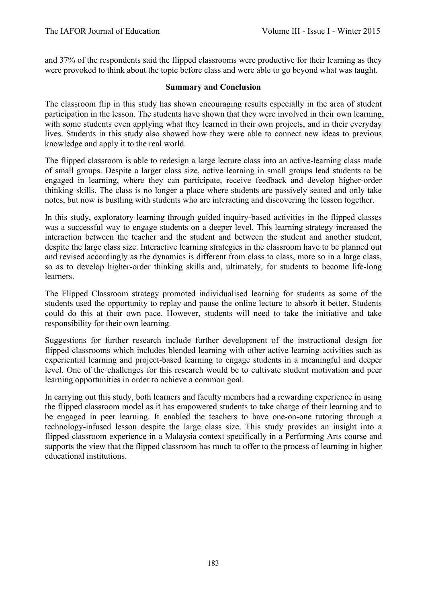and 37% of the respondents said the flipped classrooms were productive for their learning as they were provoked to think about the topic before class and were able to go beyond what was taught.

#### **Summary and Conclusion**

The classroom flip in this study has shown encouraging results especially in the area of student participation in the lesson. The students have shown that they were involved in their own learning, with some students even applying what they learned in their own projects, and in their everyday lives. Students in this study also showed how they were able to connect new ideas to previous knowledge and apply it to the real world.

The flipped classroom is able to redesign a large lecture class into an active-learning class made of small groups. Despite a larger class size, active learning in small groups lead students to be engaged in learning, where they can participate, receive feedback and develop higher-order thinking skills. The class is no longer a place where students are passively seated and only take notes, but now is bustling with students who are interacting and discovering the lesson together.

In this study, exploratory learning through guided inquiry-based activities in the flipped classes was a successful way to engage students on a deeper level. This learning strategy increased the interaction between the teacher and the student and between the student and another student, despite the large class size. Interactive learning strategies in the classroom have to be planned out and revised accordingly as the dynamics is different from class to class, more so in a large class, so as to develop higher-order thinking skills and, ultimately, for students to become life-long learners.

The Flipped Classroom strategy promoted individualised learning for students as some of the students used the opportunity to replay and pause the online lecture to absorb it better. Students could do this at their own pace. However, students will need to take the initiative and take responsibility for their own learning.

Suggestions for further research include further development of the instructional design for flipped classrooms which includes blended learning with other active learning activities such as experiential learning and project-based learning to engage students in a meaningful and deeper level. One of the challenges for this research would be to cultivate student motivation and peer learning opportunities in order to achieve a common goal.

In carrying out this study, both learners and faculty members had a rewarding experience in using the flipped classroom model as it has empowered students to take charge of their learning and to be engaged in peer learning. It enabled the teachers to have one-on-one tutoring through a technology-infused lesson despite the large class size. This study provides an insight into a flipped classroom experience in a Malaysia context specifically in a Performing Arts course and supports the view that the flipped classroom has much to offer to the process of learning in higher educational institutions.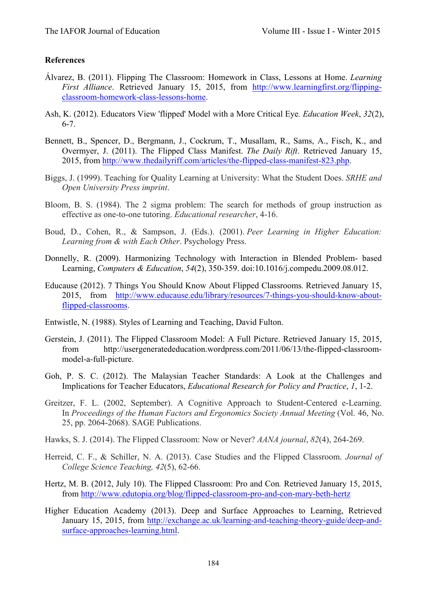#### **References**

- Álvarez, B. (2011). Flipping The Classroom: Homework in Class, Lessons at Home. *Learning First Alliance*. Retrieved January 15, 2015, from http://www.learningfirst.org/flippingclassroom-homework-class-lessons-home.
- Ash, K. (2012). Educators View 'flipped' Model with a More Critical Eye*. Education Week*, *32*(2), 6-7.
- Bennett, B., Spencer, D., Bergmann, J., Cockrum, T., Musallam, R., Sams, A., Fisch, K., and Overmyer, J. (2011). The Flipped Class Manifest. *The Daily Rift*. Retrieved January 15, 2015, from http://www.thedailyriff.com/articles/the-flipped-class-manifest-823.php.
- Biggs, J. (1999). Teaching for Quality Learning at University: What the Student Does. *SRHE and Open University Press imprint*.
- Bloom, B. S. (1984). The 2 sigma problem: The search for methods of group instruction as effective as one-to-one tutoring. *Educational researcher*, 4-16.
- Boud, D., Cohen, R., & Sampson, J. (Eds.). (2001). *Peer Learning in Higher Education: Learning from & with Each Other*. Psychology Press.
- Donnelly, R. (2009). Harmonizing Technology with Interaction in Blended Problem- based Learning, *Computers & Education*, *54*(2), 350-359. doi:10.1016/j.compedu.2009.08.012.
- Educause (2012). 7 Things You Should Know About Flipped Classrooms*.* Retrieved January 15, 2015, from http://www.educause.edu/library/resources/7-things-you-should-know-aboutflipped-classrooms.
- Entwistle, N. (1988). Styles of Learning and Teaching, David Fulton.
- Gerstein, J. (2011). The Flipped Classroom Model: A Full Picture. Retrieved January 15, 2015, from http://usergeneratededucation.wordpress.com/2011/06/13/the-flipped-classroommodel-a-full-picture.
- Goh, P. S. C. (2012). The Malaysian Teacher Standards: A Look at the Challenges and Implications for Teacher Educators, *Educational Research for Policy and Practice*, *1*, 1-2.
- Greitzer, F. L. (2002, September). A Cognitive Approach to Student-Centered e-Learning. In *Proceedings of the Human Factors and Ergonomics Society Annual Meeting* (Vol. 46, No. 25, pp. 2064-2068). SAGE Publications.
- Hawks, S. J. (2014). The Flipped Classroom: Now or Never? *AANA journal*, *82*(4), 264-269.
- Herreid, C. F., & Schiller, N. A. (2013). Case Studies and the Flipped Classroom. *Journal of College Science Teaching, 42*(5), 62-66.
- Hertz, M. B. (2012, July 10). The Flipped Classroom: Pro and Con*.* Retrieved January 15, 2015, from http://www.edutopia.org/blog/flipped-classroom-pro-and-con-mary-beth-hertz
- Higher Education Academy (2013). Deep and Surface Approaches to Learning, Retrieved January 15, 2015, from http://exchange.ac.uk/learning-and-teaching-theory-guide/deep-andsurface-approaches-learning.html.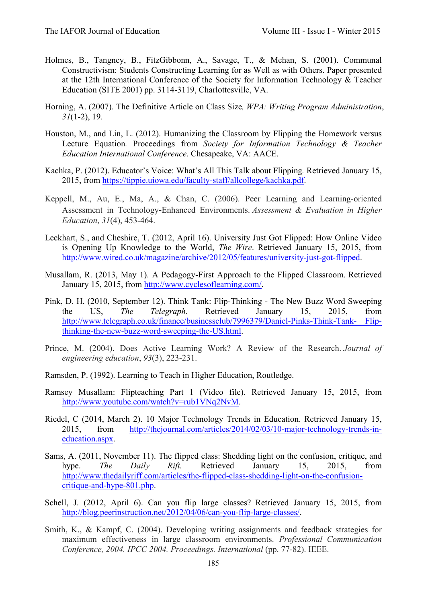- Holmes, B., Tangney, B., FitzGibbonn, A., Savage, T., & Mehan, S. (2001). Communal Constructivism: Students Constructing Learning for as Well as with Others. Paper presented at the 12th International Conference of the Society for Information Technology & Teacher Education (SITE 2001) pp. 3114-3119, Charlottesville, VA.
- Horning, A. (2007). The Definitive Article on Class Size*, WPA: Writing Program Administration*, *31*(1-2), 19.
- Houston, M., and Lin, L. (2012). Humanizing the Classroom by Flipping the Homework versus Lecture Equation*.* Proceedings from *Society for Information Technology & Teacher Education International Conference*. Chesapeake, VA: AACE.
- Kachka, P. (2012). Educator's Voice: What's All This Talk about Flipping*.* Retrieved January 15, 2015, from https://tippie.uiowa.edu/faculty-staff/allcollege/kachka.pdf.
- Keppell, M., Au, E., Ma, A., & Chan, C. (2006). Peer Learning and Learning-oriented Assessment in Technology-Enhanced Environments. *Assessment & Evaluation in Higher Education*, *31*(4), 453-464.
- Leckhart, S., and Cheshire, T. (2012, April 16). University Just Got Flipped: How Online Video is Opening Up Knowledge to the World, *The Wire*. Retrieved January 15, 2015, from http://www.wired.co.uk/magazine/archive/2012/05/features/university-just-got-flipped.
- Musallam, R. (2013, May 1). A Pedagogy-First Approach to the Flipped Classroom. Retrieved January 15, 2015, from http://www.cyclesoflearning.com/.
- Pink, D. H. (2010, September 12). Think Tank: Flip-Thinking The New Buzz Word Sweeping the US, *The Telegraph*. Retrieved January 15, 2015, from http://www.telegraph.co.uk/finance/businessclub/7996379/Daniel-Pinks-Think-Tank- Flipthinking-the-new-buzz-word-sweeping-the-US.html.
- Prince, M. (2004). Does Active Learning Work? A Review of the Research. *Journal of engineering education*, *93*(3), 223-231.
- Ramsden, P. (1992). Learning to Teach in Higher Education, Routledge.
- Ramsey Musallam: Flipteaching Part 1 (Video file). Retrieved January 15, 2015, from http://www.youtube.com/watch?v=rub1VNq2NvM.
- Riedel, C (2014, March 2). 10 Major Technology Trends in Education. Retrieved January 15, 2015, from http://thejournal.com/articles/2014/02/03/10-major-technology-trends-ineducation.aspx.
- Sams, A. (2011, November 11). The flipped class: Shedding light on the confusion, critique, and hype. *The Daily Rift.* Retrieved January 15, 2015, from http://www.thedailyriff.com/articles/the-flipped-class-shedding-light-on-the-confusioncritique-and-hype-801.php.
- Schell, J. (2012, April 6). Can you flip large classes? Retrieved January 15, 2015, from http://blog.peerinstruction.net/2012/04/06/can-you-flip-large-classes/.
- Smith, K., & Kampf, C. (2004). Developing writing assignments and feedback strategies for maximum effectiveness in large classroom environments. *Professional Communication Conference, 2004. IPCC 2004. Proceedings. International* (pp. 77-82). IEEE.